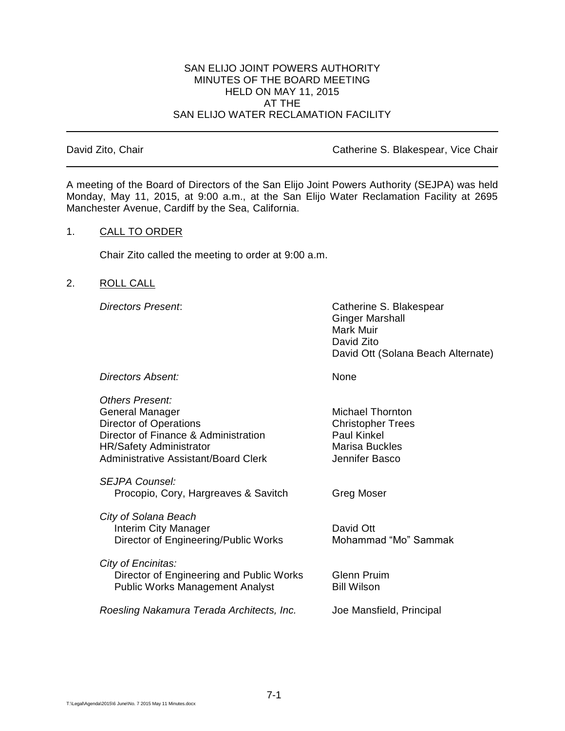## SAN ELIJO JOINT POWERS AUTHORITY MINUTES OF THE BOARD MEETING HELD ON MAY 11, 2015 AT THE SAN ELIJO WATER RECLAMATION FACILITY

David Zito, Chair **David Zito, Chair** Catherine S. Blakespear, Vice Chair

A meeting of the Board of Directors of the San Elijo Joint Powers Authority (SEJPA) was held Monday, May 11, 2015, at 9:00 a.m., at the San Elijo Water Reclamation Facility at 2695 Manchester Avenue, Cardiff by the Sea, California.

# 1. CALL TO ORDER

Chair Zito called the meeting to order at 9:00 a.m.

# 2. ROLL CALL

*Directors Present*: Catherine S. Blakespear Ginger Marshall Mark Muir David Zito David Ott (Solana Beach Alternate)

**Directors Absent:** None

| Others Present:                             |                          |
|---------------------------------------------|--------------------------|
| General Manager                             | <b>Michael Thornton</b>  |
| <b>Director of Operations</b>               | <b>Christopher Trees</b> |
| Director of Finance & Administration        | <b>Paul Kinkel</b>       |
| <b>HR/Safety Administrator</b>              | <b>Marisa Buckles</b>    |
| <b>Administrative Assistant/Board Clerk</b> | Jennifer Basco           |
| <b>SEJPA Counsel:</b>                       |                          |
| Procopio, Cory, Hargreaves & Savitch        | Greg Moser               |
| City of Solana Beach                        |                          |
| Interim City Manager                        | David Ott                |
| Director of Engineering/Public Works        | Mohammad "Mo" Sammak     |
| City of Encinitas:                          |                          |
| Director of Engineering and Public Works    | <b>Glenn Pruim</b>       |
| <b>Public Works Management Analyst</b>      | <b>Bill Wilson</b>       |

*Roesling Nakamura Terada Architects, Inc.* Joe Mansfield, Principal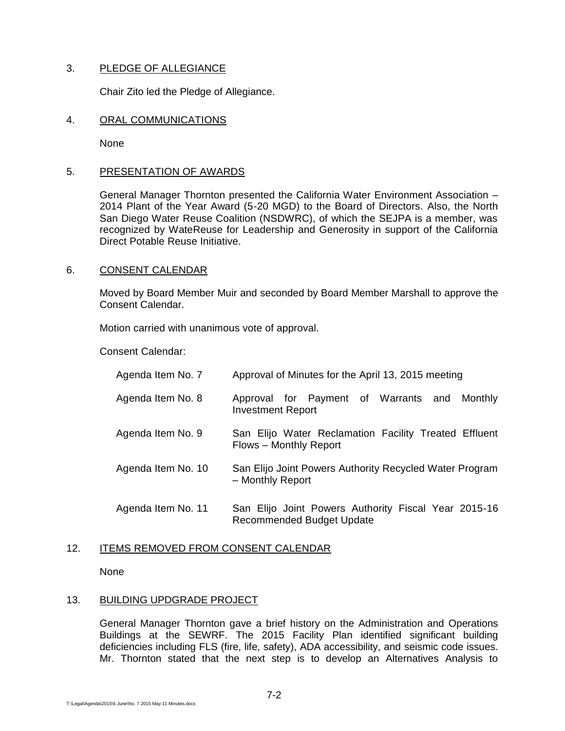# 3. PLEDGE OF ALLEGIANCE

Chair Zito led the Pledge of Allegiance.

#### 4. ORAL COMMUNICATIONS

None

## 5. PRESENTATION OF AWARDS

General Manager Thornton presented the California Water Environment Association – 2014 Plant of the Year Award (5-20 MGD) to the Board of Directors. Also, the North San Diego Water Reuse Coalition (NSDWRC), of which the SEJPA is a member, was recognized by WateReuse for Leadership and Generosity in support of the California Direct Potable Reuse Initiative.

# 6. CONSENT CALENDAR

Moved by Board Member Muir and seconded by Board Member Marshall to approve the Consent Calendar.

Motion carried with unanimous vote of approval.

Consent Calendar:

| Agenda Item No. 7  | Approval of Minutes for the April 13, 2015 meeting                              |
|--------------------|---------------------------------------------------------------------------------|
| Agenda Item No. 8  | Approval for Payment of Warrants and Monthly<br><b>Investment Report</b>        |
| Agenda Item No. 9  | San Elijo Water Reclamation Facility Treated Effluent<br>Flows – Monthly Report |
| Agenda Item No. 10 | San Elijo Joint Powers Authority Recycled Water Program<br>- Monthly Report     |
| Agenda Item No. 11 | San Elijo Joint Powers Authority Fiscal Year 2015-16                            |

Recommended Budget Update

# 12. ITEMS REMOVED FROM CONSENT CALENDAR

None

#### 13. BUILDING UPDGRADE PROJECT

General Manager Thornton gave a brief history on the Administration and Operations Buildings at the SEWRF. The 2015 Facility Plan identified significant building deficiencies including FLS (fire, life, safety), ADA accessibility, and seismic code issues. Mr. Thornton stated that the next step is to develop an Alternatives Analysis to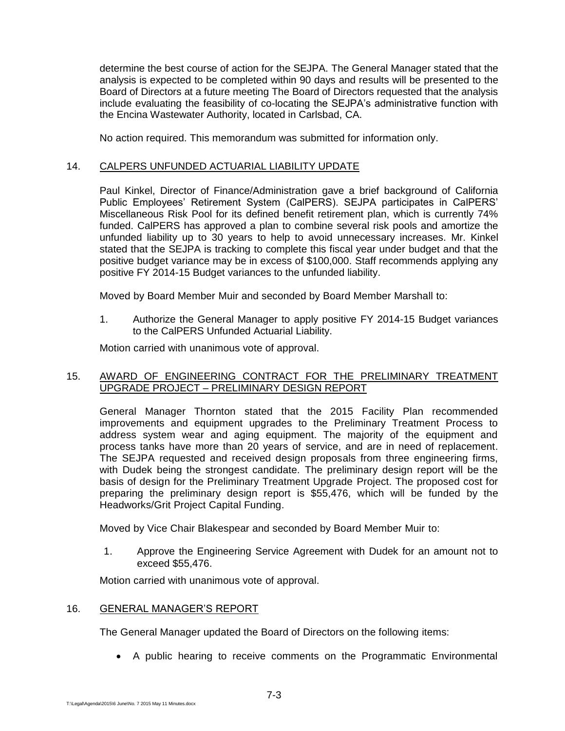determine the best course of action for the SEJPA. The General Manager stated that the analysis is expected to be completed within 90 days and results will be presented to the Board of Directors at a future meeting The Board of Directors requested that the analysis include evaluating the feasibility of co-locating the SEJPA's administrative function with the Encina Wastewater Authority, located in Carlsbad, CA.

No action required. This memorandum was submitted for information only.

# 14. CALPERS UNFUNDED ACTUARIAL LIABILITY UPDATE

Paul Kinkel, Director of Finance/Administration gave a brief background of California Public Employees' Retirement System (CalPERS). SEJPA participates in CalPERS' Miscellaneous Risk Pool for its defined benefit retirement plan, which is currently 74% funded. CalPERS has approved a plan to combine several risk pools and amortize the unfunded liability up to 30 years to help to avoid unnecessary increases. Mr. Kinkel stated that the SEJPA is tracking to complete this fiscal year under budget and that the positive budget variance may be in excess of \$100,000. Staff recommends applying any positive FY 2014-15 Budget variances to the unfunded liability.

Moved by Board Member Muir and seconded by Board Member Marshall to:

1. Authorize the General Manager to apply positive FY 2014-15 Budget variances to the CalPERS Unfunded Actuarial Liability.

Motion carried with unanimous vote of approval.

# 15. AWARD OF ENGINEERING CONTRACT FOR THE PRELIMINARY TREATMENT UPGRADE PROJECT – PRELIMINARY DESIGN REPORT

General Manager Thornton stated that the 2015 Facility Plan recommended improvements and equipment upgrades to the Preliminary Treatment Process to address system wear and aging equipment. The majority of the equipment and process tanks have more than 20 years of service, and are in need of replacement. The SEJPA requested and received design proposals from three engineering firms, with Dudek being the strongest candidate. The preliminary design report will be the basis of design for the Preliminary Treatment Upgrade Project. The proposed cost for preparing the preliminary design report is \$55,476, which will be funded by the Headworks/Grit Project Capital Funding.

Moved by Vice Chair Blakespear and seconded by Board Member Muir to:

1. Approve the Engineering Service Agreement with Dudek for an amount not to exceed \$55,476.

Motion carried with unanimous vote of approval.

# 16. GENERAL MANAGER'S REPORT

The General Manager updated the Board of Directors on the following items:

A public hearing to receive comments on the Programmatic Environmental